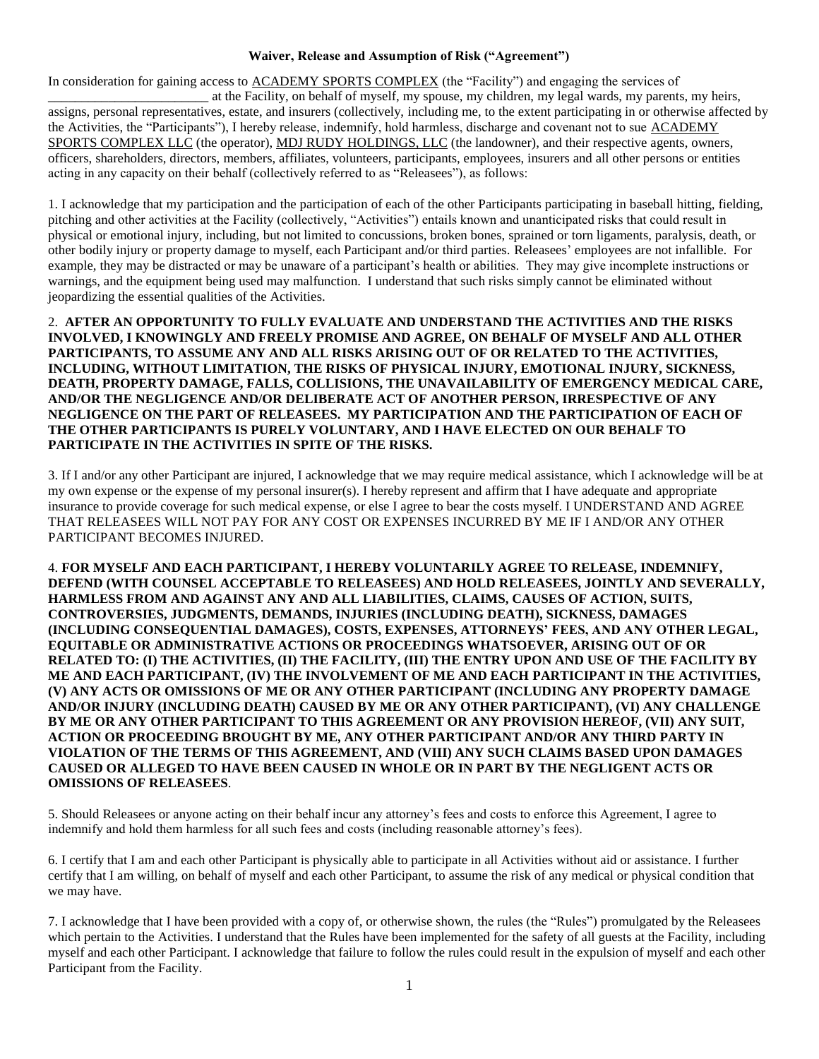## **Waiver, Release and Assumption of Risk ("Agreement")**

In consideration for gaining access to ACADEMY SPORTS COMPLEX (the "Facility") and engaging the services of at the Facility, on behalf of myself, my spouse, my children, my legal wards, my parents, my heirs,

assigns, personal representatives, estate, and insurers (collectively, including me, to the extent participating in or otherwise affected by the Activities, the "Participants"), I hereby release, indemnify, hold harmless, discharge and covenant not to sue ACADEMY SPORTS COMPLEX LLC (the operator), MDJ RUDY HOLDINGS, LLC (the landowner), and their respective agents, owners, officers, shareholders, directors, members, affiliates, volunteers, participants, employees, insurers and all other persons or entities acting in any capacity on their behalf (collectively referred to as "Releasees"), as follows:

1. I acknowledge that my participation and the participation of each of the other Participants participating in baseball hitting, fielding, pitching and other activities at the Facility (collectively, "Activities") entails known and unanticipated risks that could result in physical or emotional injury, including, but not limited to concussions, broken bones, sprained or torn ligaments, paralysis, death, or other bodily injury or property damage to myself, each Participant and/or third parties. Releasees' employees are not infallible. For example, they may be distracted or may be unaware of a participant's health or abilities. They may give incomplete instructions or warnings, and the equipment being used may malfunction. I understand that such risks simply cannot be eliminated without jeopardizing the essential qualities of the Activities.

2. **AFTER AN OPPORTUNITY TO FULLY EVALUATE AND UNDERSTAND THE ACTIVITIES AND THE RISKS INVOLVED, I KNOWINGLY AND FREELY PROMISE AND AGREE, ON BEHALF OF MYSELF AND ALL OTHER PARTICIPANTS, TO ASSUME ANY AND ALL RISKS ARISING OUT OF OR RELATED TO THE ACTIVITIES, INCLUDING, WITHOUT LIMITATION, THE RISKS OF PHYSICAL INJURY, EMOTIONAL INJURY, SICKNESS, DEATH, PROPERTY DAMAGE, FALLS, COLLISIONS, THE UNAVAILABILITY OF EMERGENCY MEDICAL CARE, AND/OR THE NEGLIGENCE AND/OR DELIBERATE ACT OF ANOTHER PERSON, IRRESPECTIVE OF ANY NEGLIGENCE ON THE PART OF RELEASEES. MY PARTICIPATION AND THE PARTICIPATION OF EACH OF THE OTHER PARTICIPANTS IS PURELY VOLUNTARY, AND I HAVE ELECTED ON OUR BEHALF TO PARTICIPATE IN THE ACTIVITIES IN SPITE OF THE RISKS.**

3. If I and/or any other Participant are injured, I acknowledge that we may require medical assistance, which I acknowledge will be at my own expense or the expense of my personal insurer(s). I hereby represent and affirm that I have adequate and appropriate insurance to provide coverage for such medical expense, or else I agree to bear the costs myself. I UNDERSTAND AND AGREE THAT RELEASEES WILL NOT PAY FOR ANY COST OR EXPENSES INCURRED BY ME IF I AND/OR ANY OTHER PARTICIPANT BECOMES INJURED.

4. **FOR MYSELF AND EACH PARTICIPANT, I HEREBY VOLUNTARILY AGREE TO RELEASE, INDEMNIFY, DEFEND (WITH COUNSEL ACCEPTABLE TO RELEASEES) AND HOLD RELEASEES, JOINTLY AND SEVERALLY, HARMLESS FROM AND AGAINST ANY AND ALL LIABILITIES, CLAIMS, CAUSES OF ACTION, SUITS, CONTROVERSIES, JUDGMENTS, DEMANDS, INJURIES (INCLUDING DEATH), SICKNESS, DAMAGES (INCLUDING CONSEQUENTIAL DAMAGES), COSTS, EXPENSES, ATTORNEYS' FEES, AND ANY OTHER LEGAL, EQUITABLE OR ADMINISTRATIVE ACTIONS OR PROCEEDINGS WHATSOEVER, ARISING OUT OF OR RELATED TO: (I) THE ACTIVITIES, (II) THE FACILITY, (III) THE ENTRY UPON AND USE OF THE FACILITY BY ME AND EACH PARTICIPANT, (IV) THE INVOLVEMENT OF ME AND EACH PARTICIPANT IN THE ACTIVITIES, (V) ANY ACTS OR OMISSIONS OF ME OR ANY OTHER PARTICIPANT (INCLUDING ANY PROPERTY DAMAGE AND/OR INJURY (INCLUDING DEATH) CAUSED BY ME OR ANY OTHER PARTICIPANT), (VI) ANY CHALLENGE BY ME OR ANY OTHER PARTICIPANT TO THIS AGREEMENT OR ANY PROVISION HEREOF, (VII) ANY SUIT, ACTION OR PROCEEDING BROUGHT BY ME, ANY OTHER PARTICIPANT AND/OR ANY THIRD PARTY IN VIOLATION OF THE TERMS OF THIS AGREEMENT, AND (VIII) ANY SUCH CLAIMS BASED UPON DAMAGES CAUSED OR ALLEGED TO HAVE BEEN CAUSED IN WHOLE OR IN PART BY THE NEGLIGENT ACTS OR OMISSIONS OF RELEASEES**.

5. Should Releasees or anyone acting on their behalf incur any attorney's fees and costs to enforce this Agreement, I agree to indemnify and hold them harmless for all such fees and costs (including reasonable attorney's fees).

6. I certify that I am and each other Participant is physically able to participate in all Activities without aid or assistance. I further certify that I am willing, on behalf of myself and each other Participant, to assume the risk of any medical or physical condition that we may have.

7. I acknowledge that I have been provided with a copy of, or otherwise shown, the rules (the "Rules") promulgated by the Releasees which pertain to the Activities. I understand that the Rules have been implemented for the safety of all guests at the Facility, including myself and each other Participant. I acknowledge that failure to follow the rules could result in the expulsion of myself and each other Participant from the Facility.